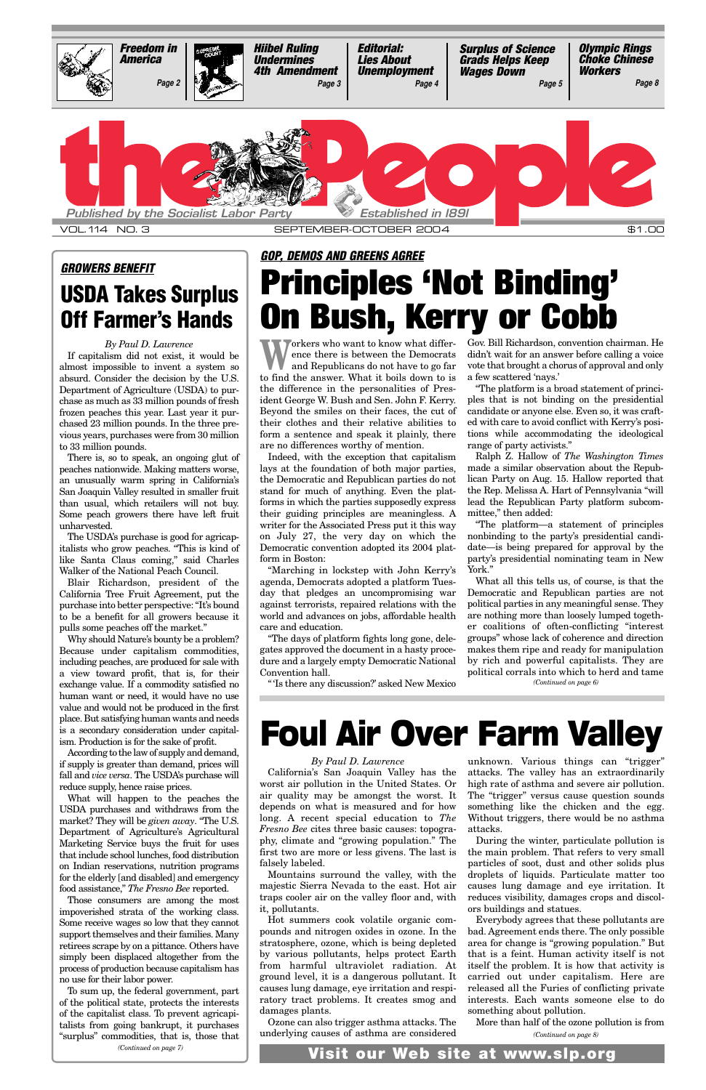Workers who want to know what difference there is between the Democrats<br>and Republicans do not have to go far ence there is between the Democrats and Republicans do not have to go far to find the answer. What it boils down to is the difference in the personalities of President George W. Bush and Sen. John F. Kerry. Beyond the smiles on their faces, the cut of their clothes and their relative abilities to form a sentence and speak it plainly, there are no differences worthy of mention.

Indeed, with the exception that capitalism lays at the foundation of both major parties, the Democratic and Republican parties do not stand for much of anything. Even the platforms in which the parties supposedly express their guiding principles are meaningless. A writer for the Associated Press put it this way on July 27, the very day on which the Democratic convention adopted its 2004 platform in Boston:

"Marching in lockstep with John Kerry's agenda, Democrats adopted a platform Tuesday that pledges an uncompromising war against terrorists, repaired relations with the world and advances on jobs, affordable health care and education.

"The days of platform fights long gone, delegates approved the document in a hasty procedure and a largely empty Democratic National Convention hall.

"'Is there any discussion?' asked New Mexico

Gov. Bill Richardson, convention chairman. He didn't wait for an answer before calling a voice vote that brought a chorus of approval and only a few scattered 'nays.'

"The platform is a broad statement of principles that is not binding on the presidential candidate or anyone else. Even so, it was crafted with care to avoid conflict with Kerry's positions while accommodating the ideological range of party activists."

Ralph Z. Hallow of *The Washington Times* made a similar observation about the Republican Party on Aug. 15. Hallow reported that the Rep. Melissa A. Hart of Pennsylvania "will lead the Republican Party platform subcommittee," then added:

"The platform—a statement of principles nonbinding to the party's presidential candidate—is being prepared for approval by the party's presidential nominating team in New York."

What all this tells us, of course, is that the Democratic and Republican parties are not political parties in any meaningful sense. They are nothing more than loosely lumped together coalitions of often-conflicting "interest groups" whose lack of coherence and direction makes them ripe and ready for manipulation by rich and powerful capitalists. They are political corrals into which to herd and tame

#### *GOP, DEMOS AND GREENS AGREE*

## **Principles 'Not Binding' On Bush, Kerry or Cobb**

#### *By Paul D. Lawrence*

If capitalism did not exist, it would be almost impossible to invent a system so absurd. Consider the decision by the U.S. Department of Agriculture (USDA) to purchase as much as 33 million pounds of fresh frozen peaches this year. Last year it purchased 23 million pounds. In the three previous years, purchases were from 30 million to 33 million pounds.

There is, so to speak, an ongoing glut of peaches nationwide. Making matters worse, an unusually warm spring in California's San Joaquin Valley resulted in smaller fruit than usual, which retailers will not buy. Some peach growers there have left fruit unharvested.

The USDA's purchase is good for agricapitalists who grow peaches. "This is kind of like Santa Claus coming," said Charles Walker of the National Peach Council.

Blair Richardson, president of the California Tree Fruit Agreement, put the purchase into better perspective: "It's bound to be a benefit for all growers because it pulls some peaches off the market."

Why should Nature's bounty be a problem? Because under capitalism commodities, including peaches, are produced for sale with a view toward profit, that is, for their exchange value. If a commodity satisfied no human want or need, it would have no use value and would not be produced in the first place. But satisfying human wants and needs is a secondary consideration under capitalism. Production is for the sake of profit.

According to the law of supply and demand, if supply is greater than demand, prices will fall and *vice versa*. The USDA's purchase will reduce supply, hence raise prices.

What will happen to the peaches the

USDA purchases and withdraws from the market? They will be *given away*. "The U.S. Department of Agriculture's Agricultural Marketing Service buys the fruit for uses that include school lunches, food distribution on Indian reservations, nutrition programs for the elderly [and disabled] and emergency food assistance," *The Fresno Bee* reported.

Those consumers are among the most impoverished strata of the working class. Some receive wages so low that they cannot support themselves and their families. Many retirees scrape by on a pittance. Others have simply been displaced altogether from the process of production because capitalism has no use for their labor power.



#### *GROWERS BENEFIT*

### **USDA Takes Surplus Off Farmer's Hands**

## **Foul Air Over Farm Valley**

#### *By Paul D. Lawrence*

California's San Joaquin Valley has the worst air pollution in the United States. Or air quality may be amongst the worst. It depends on what is measured and for how long. A recent special education to *The Fresno Bee* cites three basic causes: topography, climate and "growing population." The first two are more or less givens. The last is falsely labeled. Mountains surround the valley, with the majestic Sierra Nevada to the east. Hot air traps cooler air on the valley floor and, with it, pollutants. Hot summers cook volatile organic compounds and nitrogen oxides in ozone. In the stratosphere, ozone, which is being depleted by various pollutants, helps protect Earth from harmful ultraviolet radiation. At ground level, it is a dangerous pollutant. It causes lung damage, eye irritation and respiratory tract problems. It creates smog and damages plants. Ozone can also trigger asthma attacks. The underlying causes of asthma are considered

To sum up, the federal government, part of the political state, protects the interests of the capitalist class. To prevent agricapitalists from going bankrupt, it purchases "surplus" commodities, that is, those that *(Continued on page 7)*

unknown. Various things can "trigger" attacks. The valley has an extraordinarily high rate of asthma and severe air pollution. The "trigger" versus cause question sounds something like the chicken and the egg. Without triggers, there would be no asthma attacks. During the winter, particulate pollution is the main problem. That refers to very small particles of soot, dust and other solids plus droplets of liquids. Particulate matter too causes lung damage and eye irritation. It reduces visibility, damages crops and discolors buildings and statues. Everybody agrees that these pollutants are bad. Agreement ends there. The only possible area for change is "growing population." But that is a feint. Human activity itself is not itself the problem. It is how that activity is carried out under capitalism. Here are released all the Furies of conflicting private interests. Each wants someone else to do something about pollution.

More than half of the ozone pollution is from

*(Continued on page 8)*

*(Continued on page 6)*

**Visit our Web site at www.slp.org**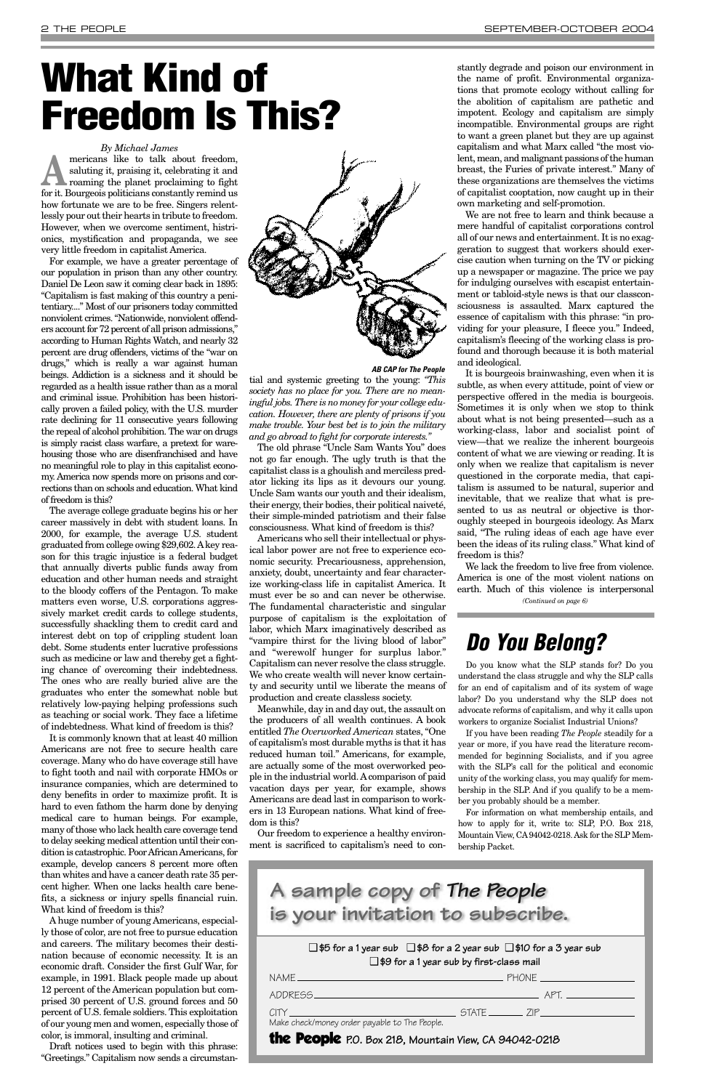*By Michael James*

mericans like to talk about freedom,<br>saluting it, praising it, celebrating it and<br>roaming the planet proclaiming to fight saluting it, praising it, celebrating it and for it. Bourgeois politicians constantly remind us how fortunate we are to be free. Singers relentlessly pour out their hearts in tribute to freedom. However, when we overcome sentiment, histrionics, mystification and propaganda, we see very little freedom in capitalist America.

For example, we have a greater percentage of our population in prison than any other country. Daniel De Leon saw it coming clear back in 1895: "Capitalism is fast making of this country a penitentiary...." Most of our prisoners today committed nonviolent crimes. "Nationwide, nonviolent offenders account for 72 percent of all prison admissions," according to Human Rights Watch, and nearly 32 percent are drug offenders, victims of the "war on drugs," which is really a war against human beings. Addiction is a sickness and it should be regarded as a health issue rather than as a moral and criminal issue. Prohibition has been historically proven a failed policy, with the U.S. murder rate declining for 11 consecutive years following the repeal of alcohol prohibition. The war on drugs is simply racist class warfare, a pretext for warehousing those who are disenfranchised and have no meaningful role to play in this capitalist economy. America now spends more on prisons and corrections than on schools and education. What kind of freedom is this?

The average college graduate begins his or her career massively in debt with student loans. In 2000, for example, the average U.S. student graduated from college owing \$29,602. Akey reason for this tragic injustice is a federal budget that annually diverts public funds away from education and other human needs and straight to the bloody coffers of the Pentagon. To make matters even worse, U.S. corporations aggressively market credit cards to college students, successfully shackling them to credit card and interest debt on top of crippling student loan debt. Some students enter lucrative professions such as medicine or law and thereby get a fighting chance of overcoming their indebtedness. The ones who are really buried alive are the graduates who enter the somewhat noble but relatively low-paying helping professions such as teaching or social work. They face a lifetime of indebtedness. What kind of freedom is this?

It is commonly known that at least 40 million Americans are not free to secure health care coverage. Many who do have coverage still have to fight tooth and nail with corporate HMOs or insurance companies, which are determined to deny benefits in order to maximize profit. It is hard to even fathom the harm done by denying medical care to human beings. For example, many of those who lack health care coverage tend to delay seeking medical attention until their condition is catastrophic. Poor African Americans, for example, develop cancers 8 percent more often than whites and have a cancer death rate 35 percent higher. When one lacks health care benefits, a sickness or injury spells financial ruin. What kind of freedom is this? A huge number of young Americans, especially those of color, are not free to pursue education and careers. The military becomes their destination because of economic necessity. It is an economic draft. Consider the first Gulf War, for example, in 1991. Black people made up about 12 percent of the American population but comprised 30 percent of U.S. ground forces and 50 percent of U.S. female soldiers. This exploitation of our young men and women, especially those of color, is immoral, insulting and criminal.



Draft notices used to begin with this phrase: "Greetings." Capitalism now sends a circumstantial and systemic greeting to the young: *"This society has no place for you. There are no meaningful jobs. There is no money for your college education. However, there are plenty of prisons if you make trouble. Your best bet is to join the military and go abroad to fight for corporate interests."* 

The old phrase "Uncle Sam Wants You" does not go far enough. The ugly truth is that the capitalist class is a ghoulish and merciless predator licking its lips as it devours our young. Uncle Sam wants our youth and their idealism, their energy, their bodies, their political naiveté, their simple-minded patriotism and their false consciousness. What kind of freedom is this?

Americans who sell their intellectual or physical labor power are not free to experience economic security. Precariousness, apprehension, anxiety, doubt, uncertainty and fear characterize working-class life in capitalist America. It must ever be so and can never be otherwise. The fundamental characteristic and singular purpose of capitalism is the exploitation of labor, which Marx imaginatively described as "vampire thirst for the living blood of labor" and "werewolf hunger for surplus labor." Capitalism can never resolve the class struggle. We who create wealth will never know certainty and security until we liberate the means of production and create classless society.

Meanwhile, day in and day out, the assault on the producers of all wealth continues. A book entitled *The Overworked American* states, "One of capitalism's most durable myths is that it has reduced human toil." Americans, for example, are actually some of the most overworked people in the industrial world. Acomparison of paid vacation days per year, for example, shows Americans are dead last in comparison to workers in 13 European nations. What kind of freedom is this?

Our freedom to experience a healthy environment is sacrificed to capitalism's need to con-

stantly degrade and poison our environment in the name of profit. Environmental organizations that promote ecology without calling for the abolition of capitalism are pathetic and impotent. Ecology and capitalism are simply incompatible. Environmental groups are right to want a green planet but they are up against capitalism and what Marx called "the most violent, mean, and malignant passions of the human breast, the Furies of private interest." Many of these organizations are themselves the victims of capitalist cooptation, now caught up in their own marketing and self-promotion.

We are not free to learn and think because a mere handful of capitalist corporations control all of our news and entertainment. It is no exaggeration to suggest that workers should exercise caution when turning on the TV or picking up a newspaper or magazine. The price we pay for indulging ourselves with escapist entertainment or tabloid-style news is that our classconsciousness is assaulted. Marx captured the essence of capitalism with this phrase: "in providing for your pleasure, I fleece you." Indeed, capitalism's fleecing of the working class is profound and thorough because it is both material and ideological.

It is bourgeois brainwashing, even when it is subtle, as when every attitude, point of view or perspective offered in the media is bourgeois. Sometimes it is only when we stop to think about what is not being presented—such as a working-class, labor and socialist point of view—that we realize the inherent bourgeois content of what we are viewing or reading. It is only when we realize that capitalism is never questioned in the corporate media, that capitalism is assumed to be natural, superior and inevitable, that we realize that what is presented to us as neutral or objective is thoroughly steeped in bourgeois ideology. As Marx said, "The ruling ideas of each age have ever been the ideas of its ruling class." What kind of freedom is this?

### *Do You Belong?*

Do you know what the SLP stands for? Do you understand the class struggle and why the SLP calls for an end of capitalism and of its system of wage labor? Do you understand why the SLP does not advocate reforms of capitalism, and why it calls upon workers to organize Socialist Industrial Unions?

We lack the freedom to live free from violence. America is one of the most violent nations on earth. Much of this violence is interpersonal *(Continued on page 6)*

If you have been reading *The People* steadily for a year or more, if you have read the literature recommended for beginning Socialists, and if you agree with the SLP's call for the political and economic unity of the working class, you may qualify for membership in the SLP. And if you qualify to be a member you probably should be a member.

For information on what membership entails, and how to apply for it, write to: SLP, P.O. Box 218, Mountain View, CA94042-0218. Ask for the SLP Membership Packet.

# **What Kind of Freedom Is This?**

*AB CAP for The People*

❑ **\$5 for a 1 year sub** ❑ **\$8 for a 2 year sub** ❑ **\$10 for a 3 year sub** ❑ **\$9 for a 1 year sub by first-class mail**

| Make check/money order payable to The People.         |  |  |
|-------------------------------------------------------|--|--|
| the People P.O. Box 218, Mountain View, CA 94042-0218 |  |  |

**A sample copy of** *The People* **is your invitation to subscribe.**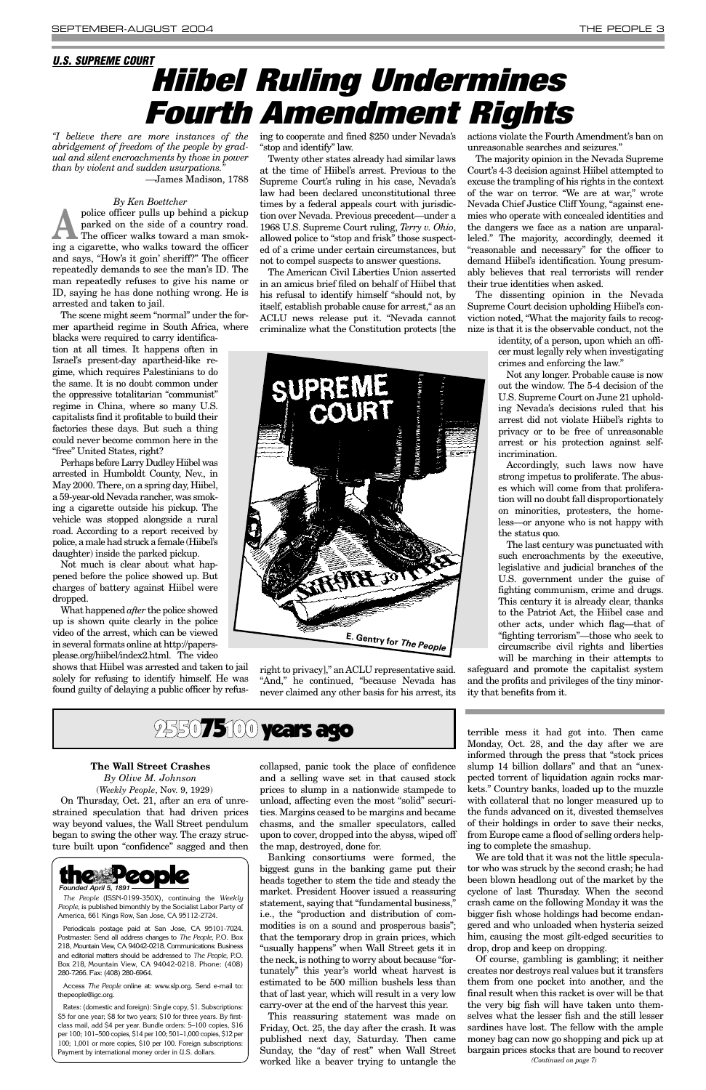*"I believe there are more instances of the abridgement of freedom of the people by gradual and silent encroachments by those in power than by violent and sudden usurpations."*

*—*James Madison, 1788

#### *By Ken Boettcher*

police officer pulls up behind a pickup<br>parked on the side of a country road.<br>The officer walks toward a man smokparked on the side of a country road. The officer walks toward a man smoking a cigarette, who walks toward the officer and says, "How's it goin' sheriff?" The officer repeatedly demands to see the man's ID. The man repeatedly refuses to give his name or ID, saying he has done nothing wrong. He is arrested and taken to jail.

The scene might seem "normal" under the former apartheid regime in South Africa, where blacks were required to carry identification at all times. It happens often in Israel's present-day apartheid-like regime, which requires Palestinians to do the same. It is no doubt common under the oppressive totalitarian "communist" regime in China, where so many U.S. capitalists find it profitable to build their factories these days. But such a thing could never become common here in the "free" United States, right?

Perhaps before Larry Dudley Hiibel was arrested in Humboldt County, Nev., in May 2000. There, on a spring day, Hiibel, a 59-year-old Nevada rancher, was smoking a cigarette outside his pickup. The vehicle was stopped alongside a rural road. According to a report received by police, a male had struck a female (Hiibel's daughter) inside the parked pickup.

Not much is clear about what happened before the police showed up. But charges of battery against Hiibel were dropped.

What happened *after* the police showed up is shown quite clearly in the police video of the arrest, which can be viewed in several formats online at http://papersplease.org/hiibel/index2.html. The video

shows that Hiibel was arrested and taken to jail solely for refusing to identify himself. He was found guilty of delaying a public officer by refusing to cooperate and fined \$250 under Nevada's "stop and identify" law.

Twenty other states already had similar laws at the time of Hiibel's arrest. Previous to the Supreme Court's ruling in his case, Nevada's law had been declared unconstitutional three times by a federal appeals court with jurisdiction over Nevada. Previous precedent—under a 1968 U.S. Supreme Court ruling, *Terry v. Ohio*, allowed police to "stop and frisk" those suspected of a crime under certain circumstances, but not to compel suspects to answer questions.

The American Civil Liberties Union asserted in an amicus brief filed on behalf of Hiibel that his refusal to identify himself "should not, by itself, establish probable cause for arrest," as an ACLU news release put it. "Nevada cannot criminalize what the Constitution protects [the

right to privacy]," an ACLU representative said. "And," he continued, "because Nevada has never claimed any other basis for his arrest, its actions violate the Fourth Amendment's ban on unreasonable searches and seizures."

The majority opinion in the Nevada Supreme Court's 4-3 decision against Hiibel attempted to excuse the trampling of his rights in the context of the war on terror. "We are at war," wrote Nevada Chief Justice Cliff Young, "against enemies who operate with concealed identities and the dangers we face as a nation are unparalleled." The majority, accordingly, deemed it "reasonable and necessary" for the officer to demand Hiibel's identification. Young presumably believes that real terrorists will render their true identities when asked.

The dissenting opinion in the Nevada Supreme Court decision upholding Hiibel's conviction noted, "What the majority fails to recognize is that it is the observable conduct, not the

> identity, of a person, upon which an officer must legally rely when investigating crimes and enforcing the law."

> Not any longer. Probable cause is now out the window. The 5-4 decision of the U.S. Supreme Court on June 21 upholding Nevada's decisions ruled that his arrest did not violate Hiibel's rights to privacy or to be free of unreasonable arrest or his protection against selfincrimination.

> Accordingly, such laws now have strong impetus to proliferate. The abuses which will come from that proliferation will no doubt fall disproportionately on minorities, protesters, the homeless—or anyone who is not happy with the status quo.

> The last century was punctuated with such encroachments by the executive, legislative and judicial branches of the U.S. government under the guise of fighting communism, crime and drugs. This century it is already clear, thanks to the Patriot Act, the Hiibel case and other acts, under which flag—that of "fighting terrorism"—those who seek to circumscribe civil rights and liberties will be marching in their attempts to

safeguard and promote the capitalist system and the profits and privileges of the tiny minority that benefits from it.

### 2550**75100 years ago**

#### *U.S. SUPREME COURT*

## *Hiibel Ruling Undermines Fourth Amendment Rights*

**The Wall Street Crashes** *By Olive M. Johnson* (*Weekly People*, Nov. 9, 1929) On Thursday, Oct. 21, after an era of unrestrained speculation that had driven prices way beyond values, the Wall Street pendulum began to swing the other way. The crazy structure built upon "confidence" sagged and then

collapsed, panic took the place of confidence and a selling wave set in that caused stock prices to slump in a nationwide stampede to unload, affecting even the most "solid" securities. Margins ceased to be margins and became chasms, and the smaller speculators, called upon to cover, dropped into the abyss, wiped off the map, destroyed, done for. Banking consortiums were formed, the biggest guns in the banking game put their heads together to stem the tide and steady the market. President Hoover issued a reassuring statement, saying that "fundamental business," i.e., the "production and distribution of commodities is on a sound and prosperous basis"; that the temporary drop in grain prices, which "usually happens" when Wall Street gets it in the neck, is nothing to worry about because "fortunately" this year's world wheat harvest is estimated to be 500 million bushels less than that of last year, which will result in a very low carry-over at the end of the harvest this year. This reassuring statement was made on Friday, Oct. 25, the day after the crash. It was published next day, Saturday. Then came Sunday, the "day of rest" when Wall Street worked like a beaver trying to untangle the

terrible mess it had got into. Then came Monday, Oct. 28, and the day after we are informed through the press that "stock prices slump 14 billion dollars" and that an "unexpected torrent of liquidation again rocks markets." Country banks, loaded up to the muzzle with collateral that no longer measured up to the funds advanced on it, divested themselves of their holdings in order to save their necks, from Europe came a flood of selling orders helping to complete the smashup. We are told that it was not the little speculator who was struck by the second crash; he had been blown headlong out of the market by the cyclone of last Thursday. When the second crash came on the following Monday it was the bigger fish whose holdings had become endangered and who unloaded when hysteria seized him, causing the most gilt-edged securities to drop, drop and keep on dropping. Of course, gambling is gambling; it neither creates nor destroys real values but it transfers them from one pocket into another, and the final result when this racket is over will be that the very big fish will have taken unto themselves what the lesser fish and the still lesser sardines have lost. The fellow with the ample money bag can now go shopping and pick up at bargain prices stocks that are bound to recover



*The People* (ISSN-0199-350X), continuing the *Weekly People*, is published bimonthly by the Socialist Labor Party of America, 661 Kings Row, San Jose, CA 95112-2724.

Periodicals postage paid at San Jose, CA 95101-7024. Postmaster: Send all address changes to *The People*, P.O. Box 218, Mountain View, CA 94042-0218. Communications: Business and editorial matters should be addressed to *The People*, P.O. Box 218, Mountain View, CA 94042-0218. Phone: (408) 280-7266. Fax: (408) 280-6964.

Access *The People* online at: www.slp.org. Send e-mail to: thepeople@igc.org.

Rates: (domestic and foreign): Single copy, \$1. Subscriptions: \$5 for one year; \$8 for two years; \$10 for three years. By firstclass mail, add \$4 per year. Bundle orders: 5–100 copies, \$16 per 100; 101–500 copies, \$14 per 100; 501–1,000 copies, \$12 per 100; 1,001 or more copies, \$10 per 100. Foreign subscriptions: Payment by international money order in U.S. dollars.

*(Continued on page 7)*

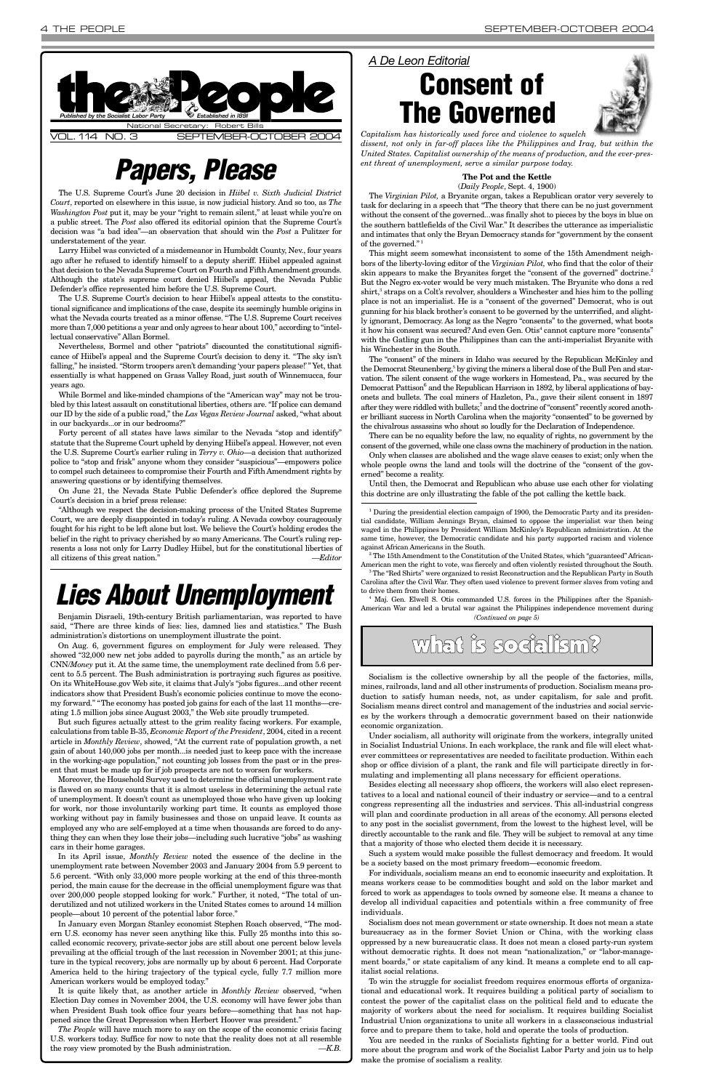The U.S. Supreme Court's June 20 decision in *Hiibel v. Sixth Judicial District Court*, reported on elsewhere in this issue, is now judicial history. And so too, as *The Washington Post* put it, may be your "right to remain silent," at least while you're on a public street. The *Post* also offered its editorial opinion that the Supreme Court's decision was "a bad idea"—an observation that should win the *Post* a Pulitzer for understatement of the year.

Larry Hiibel was convicted of a misdemeanor in Humboldt County, Nev., four years ago after he refused to identify himself to a deputy sheriff. Hiibel appealed against that decision to the Nevada Supreme Court on Fourth and Fifth Amendment grounds. Although the state's supreme court denied Hiibel's appeal, the Nevada Public Defender's office represented him before the U.S. Supreme Court.

The U.S. Supreme Court's decision to hear Hiibel's appeal attests to the constitutional significance and implications of the case, despite its seemingly humble origins in what the Nevada courts treated as a minor offense. "The U.S. Supreme Court receives more than 7,000 petitions a year and only agrees to hear about 100," according to "intellectual conservative" Allan Bormel.

Nevertheless, Bormel and other "patriots" discounted the constitutional significance of Hiibel's appeal and the Supreme Court's decision to deny it. "The sky isn't falling," he insisted. "Storm troopers aren't demanding 'your papers please!'" Yet, that essentially is what happened on Grass Valley Road, just south of Winnemucca, four years ago.

The *Virginian Pilot,* a Bryanite organ, takes a Republican orator very severely to task for declaring in a speech that "The theory that there can be no just government without the consent of the governed...was finally shot to pieces by the boys in blue on the southern battlefields of the Civil War." It describes the utterance as imperialistic and intimates that only the Bryan Democracy stands for "government by the consent of the governed."<sup>1</sup>

While Bormel and like-minded champions of the "American way" may not be troubled by this latest assault on constitutional liberties, others are. "If police can demand our ID by the side of a public road," the *Las Vegas Review Journal* asked, "what about in our backyards...or in our bedrooms?"

Forty percent of all states have laws similar to the Nevada "stop and identify" statute that the Supreme Court upheld by denying Hiibel's appeal. However, not even the U.S. Supreme Court's earlier ruling in *Terry v. Ohio*—a decision that authorized police to "stop and frisk" anyone whom they consider "suspicious"—empowers police to compel such detainees to compromise their Fourth and Fifth Amendment rights by answering questions or by identifying themselves.

On June 21, the Nevada State Public Defender's office deplored the Supreme Court's decision in a brief press release:

"Although we respect the decision-making process of the United States Supreme Court, we are deeply disappointed in today's ruling. A Nevada cowboy courageously fought for his right to be left alone but lost. We believe the Court's holding erodes the belief in the right to privacy cherished by so many Americans. The Court's ruling represents a loss not only for Larry Dudley Hiibel, but for the constitutional liberties of all citizens of this great nation." *—Editor*

#### **The Pot and the Kettle** (*Daily People*, Sept. 4, 1900)

American men the right to vote, was fiercely and often violently resisted throughout the South.<br><sup>3</sup>The "Red Shirts" were organized to resist Reconstruction and the Republican Party in South Carolina after the Civil War. They often used violence to prevent former slaves from voting and



This might seem somewhat inconsistent to some of the 15th Amendment neighbors of the liberty-loving editor of the *Virginian Pilot,* who find that the color of their skin appears to make the Bryanites forget the "consent of the governed" doctrine.2 But the Negro ex-voter would be very much mistaken. The Bryanite who dons a red shirt,<sup>3</sup> straps on a Colt's revolver, shoulders a Winchester and hies him to the polling place is not an imperialist. He is a "consent of the governed" Democrat, who is out gunning for his black brother's consent to be governed by the unterrified, and slightly ignorant, Democracy. As long as the Negro "consents" to the governed, what boots it how his consent was secured? And even Gen. Otis<sup>4</sup> cannot capture more "consents" with the Gatling gun in the Philippines than can the anti-imperialist Bryanite with his Winchester in the South.

The "consent" of the miners in Idaho was secured by the Republican McKinley and the Democrat Steunenberg,<sup>5</sup> by giving the miners a liberal dose of the Bull Pen and starvation. The silent consent of the wage workers in Homestead, Pa., was secured by the Democrat Pattison<sup>6</sup> and the Republican Harrison in 1892, by liberal applications of bayonets and bullets. The coal miners of Hazleton, Pa., gave their silent consent in 1897 after they were riddled with bullets;<sup>7</sup> and the doctrine of "consent" recently scored another brilliant success in North Carolina when the majority "consented" to be governed by the chivalrous assassins who shout so loudly for the Declaration of Independence.

There can be no equality before the law, no equality of rights, no government by the consent of the governed, while one class owns the machinery of production in the nation.

Only when classes are abolished and the wage slave ceases to exist; only when the whole people owns the land and tools will the doctrine of the "consent of the governed" become a reality.

Until then, the Democrat and Republican who abuse use each other for violating this doctrine are only illustrating the fable of the pot calling the kettle back.

<sup>2</sup> The 15th Amendment to the Constitution of the United States, which "guaranteed" African-

to drive them from their homes. 4 Maj. Gen. Elwell S. Otis commanded U.S. forces in the Philippines after the Spanish-American War and led a brutal war against the Philippines independence movement during

### *Papers, Please*

#### *A De Leon Editorial*





*Capitalism has historically used force and violence to squelch dissent, not only in far-off places like the Philippines and Iraq, but within the United States. Capitalist ownership of the means of production, and the ever-present threat of unemployment, serve a similar purpose today.*

Socialism is the collective ownership by all the people of the factories, mills, mines, railroads, land and all other instruments of production. Socialism means production to satisfy human needs, not, as under capitalism, for sale and profit. Socialism means direct control and management of the industries and social services by the workers through a democratic government based on their nationwide economic organization.

Under socialism, all authority will originate from the workers, integrally united in Socialist Industrial Unions. In each workplace, the rank and file will elect whatever committees or representatives are needed to facilitate production. Within each shop or office division of a plant, the rank and file will participate directly in formulating and implementing all plans necessary for efficient operations.

Besides electing all necessary shop officers, the workers will also elect representatives to a local and national council of their industry or service—and to a central

congress representing all the industries and services. This all-industrial congress will plan and coordinate production in all areas of the economy. All persons elected to any post in the socialist government, from the lowest to the highest level, will be directly accountable to the rank and file. They will be subject to removal at any time that a majority of those who elected them decide it is necessary.

Such a system would make possible the fullest democracy and freedom. It would be a society based on the most primary freedom—economic freedom.

For individuals, socialism means an end to economic insecurity and exploitation. It means workers cease to be commodities bought and sold on the labor market and forced to work as appendages to tools owned by someone else. It means a chance to develop all individual capacities and potentials within a free community of free individuals.

Socialism does not mean government or state ownership. It does not mean a state bureaucracy as in the former Soviet Union or China, with the working class oppressed by a new bureaucratic class. It does not mean a closed party-run system without democratic rights. It does not mean "nationalization," or "labor-management boards," or state capitalism of any kind. It means a complete end to all capitalist social relations.

To win the struggle for socialist freedom requires enormous efforts of organizational and educational work. It requires building a political party of socialism to contest the power of the capitalist class on the political field and to educate the majority of workers about the need for socialism. It requires building Socialist Industrial Union organizations to unite all workers in a classconscious industrial force and to prepare them to take, hold and operate the tools of production.

You are needed in the ranks of Socialists fighting for a better world. Find out more about the program and work of the Socialist Labor Party and join us to help make the promise of socialism a reality.

Benjamin Disraeli, 19th-century British parliamentarian, was reported to have said, "There are three kinds of lies: lies, damned lies and statistics." The Bush administration's distortions on unemployment illustrate the point.

On Aug. 6, government figures on employment for July were released. They showed "32,000 new net jobs added to payrolls during the month," as an article by CNN/*Money* put it. At the same time, the unemployment rate declined from 5.6 percent to 5.5 percent. The Bush administration is portraying such figures as positive. On its WhiteHouse.gov Web site, it claims that July's "jobs figures...and other recent indicators show that President Bush's economic policies continue to move the economy forward." "The economy has posted job gains for each of the last 11 monthsating 1.5 million jobs since August 2003," the Web site proudly trumpeted.

But such figures actually attest to the grim reality facing workers. For example, calculations from table B-35, *Economic Report of the President*, 2004, cited in a recent article in *Monthly Review*, showed, "At the current rate of population growth, a net gain of about 140,000 jobs per month...is needed just to keep pace with the increase in the working-age population," not counting job losses from the past or in the present that must be made up for if job prospects are not to worsen for workers.

Moreover, the Household Survey used to determine the official unemployment rate is flawed on so many counts that it is almost useless in determining the actual rate of unemployment. It doesn't count as unemployed those who have given up looking for work, nor those involuntarily working part time. It counts as employed those working without pay in family businesses and those on unpaid leave. It counts as employed any who are self-employed at a time when thousands are forced to do anything they can when they lose their jobs—including such lucrative "jobs" as washing cars in their home garages. In its April issue, *Monthly Review* noted the essence of the decline in the unemployment rate between November 2003 and January 2004 from 5.9 percent to 5.6 percent. "With only 33,000 more people working at the end of this three-month period, the main cause for the decrease in the official unemployment figure was that over 200,000 people stopped looking for work." Further, it noted, "The total of underutilized and not utilized workers in the United States comes to around 14 million people—about 10 percent of the potential labor force." In January even Morgan Stanley economist Stephen Roach observed, "The modern U.S. economy has never seen anything like this. Fully 25 months into this socalled economic recovery, private-sector jobs are still about one percent below levels prevailing at the official trough of the last recession in November 2001; at this juncture in the typical recovery, jobs are normally up by about 6 percent. Had Corporate America held to the hiring trajectory of the typical cycle, fully 7.7 million more American workers would be employed today." It is quite likely that, as another article in *Monthly Review* observed, "when Election Day comes in November 2004, the U.S. economy will have fewer jobs than when President Bush took office four years before—something that has not happened since the Great Depression when Herbert Hoover was president." *The People* will have much more to say on the scope of the economic crisis facing U.S. workers today. Suffice for now to note that the reality does not at all resemble the rosy view promoted by the Bush administration. *—K.B.*

## *Lies About Unemployment*

*(Continued on page 5)*

## what is socialism?

 $1$  During the presidential election campaign of 1900, the Democratic Party and its presidential candidate, William Jennings Bryan, claimed to oppose the imperialist war then being waged in the Philippines by President William McKinley's Republican administration. At the same time, however, the Democratic candidate and his party supported racism and violence against African Americans in the South.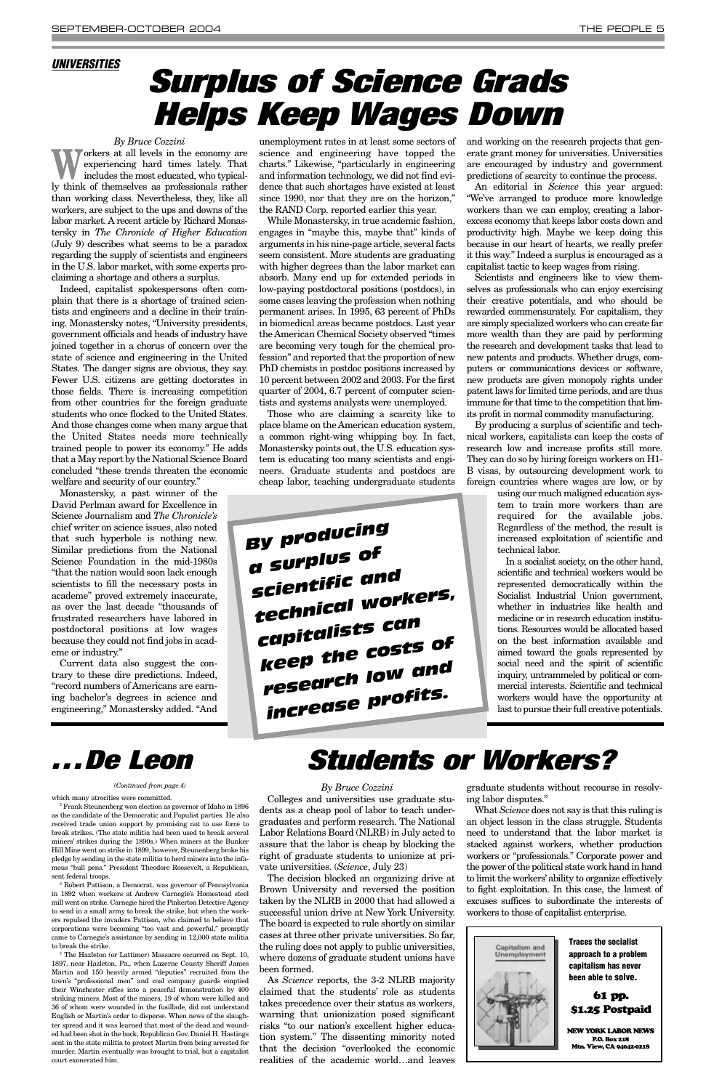#### *By Bruce Cozzini*

Workers at all levels in the economy are<br>experiencing hard times lately. That<br>includes the most educated, who typicalexperiencing hard times lately. That includes the most educated, who typically think of themselves as professionals rather than working class. Nevertheless, they, like all workers, are subject to the ups and downs of the labor market. A recent article by Richard Monastersky in *The Chronicle of Higher Education* (July 9) describes what seems to be a paradox regarding the supply of scientists and engineers in the U.S. labor market, with some experts proclaiming a shortage and others a surplus.

Indeed, capitalist spokespersons often complain that there is a shortage of trained scientists and engineers and a decline in their training. Monastersky notes, "University presidents, government officials and heads of industry have joined together in a chorus of concern over the state of science and engineering in the United States. The danger signs are obvious, they say. Fewer U.S. citizens are getting doctorates in those fields. There is increasing competition from other countries for the foreign graduate students who once flocked to the United States. And those changes come when many argue that the United States needs more technically trained people to power its economy." He adds that a May report by the National Science Board concluded "these trends threaten the economic welfare and security of our country."

Monastersky, a past winner of the David Perlman award for Excellence in Science Journalism and *The Chronicle's* chief writer on science issues, also noted that such hyperbole is nothing new. Similar predictions from the National Science Foundation in the mid-1980s "that the nation would soon lack enough scientists to fill the necessary posts in academe" proved extremely inaccurate, as over the last decade "thousands of frustrated researchers have labored in postdoctoral positions at low wages because they could not find jobs in academe or industry."

Current data also suggest the contrary to these dire predictions. Indeed, "record numbers of Americans are earning bachelor's degrees in science and engineering," Monastersky added. "And unemployment rates in at least some sectors of science and engineering have topped the charts." Likewise, "particularly in engineering and information technology, we did not find evidence that such shortages have existed at least since 1990, nor that they are on the horizon," the RAND Corp. reported earlier this year.

While Monastersky, in true academic fashion, engages in "maybe this, maybe that" kinds of arguments in his nine-page article, several facts seem consistent. More students are graduating with higher degrees than the labor market can absorb. Many end up for extended periods in low-paying postdoctoral positions (postdocs), in some cases leaving the profession when nothing permanent arises. In 1995, 63 percent of PhDs in biomedical areas became postdocs. Last year the American Chemical Society observed "times are becoming very tough for the chemical profession" and reported that the proportion of new PhD chemists in postdoc positions increased by 10 percent between 2002 and 2003. For the first quarter of 2004, 6.7 percent of computer scientists and systems analysts were unemployed.

in 1892 when workers at Andrew Carnegie's Homestead steel mill went on strike. Carnegie hired the Pinkerton Detective Agency to send in a small army to break the strike, but when the workers repulsed the invaders Pattison, who claimed to believe that corporations were becoming "too vast and powerful," promptly came to Carnegie's assistance by sending in 12,000 state militia to break the strike.  $\hbox{ }^7$  The Hazleton (or Lattimer) Massacre occurred on Sept. 10,

Those who are claiming a scarcity like to place blame on the American education system, a common right-wing whipping boy. In fact, Monastersky points out, the U.S. education system is educating too many scientists and engineers. Graduate students and postdocs are cheap labor, teaching undergraduate students and working on the research projects that generate grant money for universities. Universities are encouraged by industry and government predictions of scarcity to continue the process.

An editorial in *Science* this year argued: "We've arranged to produce more knowledge workers than we can employ, creating a laborexcess economy that keeps labor costs down and productivity high. Maybe we keep doing this because in our heart of hearts, we really prefer it this way." Indeed a surplus is encouraged as a capitalist tactic to keep wages from rising.

Scientists and engineers like to view themselves as professionals who can enjoy exercising their creative potentials, and who should be rewarded commensurately. For capitalism, they are simply specialized workers who can create far more wealth than they are paid by performing the research and development tasks that lead to new patents and products. Whether drugs, computers or communications devices or software, new products are given monopoly rights under patent laws for limited time periods, and are thus immune for that time to the competition that limits profit in normal commodity manufacturing.

By producing a surplus of scientific and technical workers, capitalists can keep the costs of research low and increase profits still more. They can do so by hiring foreign workers on H1- B visas, by outsourcing development work to foreign countries where wages are low, or by

> using our much maligned education system to train more workers than are required for the available jobs. Regardless of the method, the result is increased exploitation of scientific and technical labor.

> In a socialist society, on the other hand, scientific and technical workers would be represented democratically within the Socialist Industrial Union government, whether in industries like health and medicine or in research education institutions. Resources would be allocated based on the best information available and aimed toward the goals represented by social need and the spirit of scientific inquiry, untrammeled by political or commercial interests. Scientific and technical workers would have the opportunity at last to pursue their full creative potentials.

#### *UNIVERSITIES*

## *Surplus of Science Grads Helps Keep Wages Down*

1897, near Hazleton, Pa., when Luzerne County Sheriff James Martin and 150 heavily armed "deputies" recruited from the town's "professional men" and coal company guards emptied their Winchester rifles into a peaceful demonstration by 400 striking miners. Most of the miners, 19 of whom were killed and 36 of whom were wounded in the fusillade, did not understand English or Martin's order to disperse. When news of the slaughter spread and it was learned that most of the dead and wounded had been shot in the back, Republican Gov. Daniel H. Hastings sent in the state militia to protect Martin from being arrested for murder. Martin eventually was brought to trial, but a capitalist court exonerated him.



## *Students or Workers?*

*By Bruce Cozzini* Colleges and universities use graduate students as a cheap pool of labor to teach undergraduates and perform research. The National Labor Relations Board (NLRB) in July acted to assure that the labor is cheap by blocking the right of graduate students to unionize at private universities. (*Science*, July 23) The decision blocked an organizing drive at Brown University and reversed the position taken by the NLRB in 2000 that had allowed a successful union drive at New York University. The board is expected to rule shortly on similar cases at three other private universities. So far, the ruling does not apply to public universities, where dozens of graduate student unions have been formed. As *Science* reports, the 3-2 NLRB majority claimed that the students' role as students takes precedence over their status as workers, warning that unionization posed significant risks "to our nation's excellent higher education system." The dissenting minority noted that the decision "overlooked the economic realities of the academic world…and leaves

graduate students without recourse in resolving labor disputes."

which many atrocities were committed.<br><sup>5</sup> Frank Steunenberg won election as governor of Idaho in 1896 as the candidate of the Democratic and Populist parties. He also received trade union support by promising not to use force to break strikes. (The state militia had been used to break several miners' strikes during the 1890s.) When miners at the Bunker Hill Mine went on strike in 1899, however, Steunenberg broke his pledge by sending in the state militia to herd miners into the infamous "bull pens." President Theodore Roosevelt, a Republican, sent federal troops.<br><sup>6</sup> Robert Pattison, a Democrat, was governor of Pennsylvania

What *Science* does not say is that this ruling is an object lesson in the class struggle. Students need to understand that the labor market is stacked against workers, whether production workers or "professionals." Corporate power and the power of the political state work hand in hand to limit the workers'ability to organize effectively to fight exploitation. In this case, the lamest of excuses suffices to subordinate the interests of workers to those of capitalist enterprise.



*(Continued from page 4)*

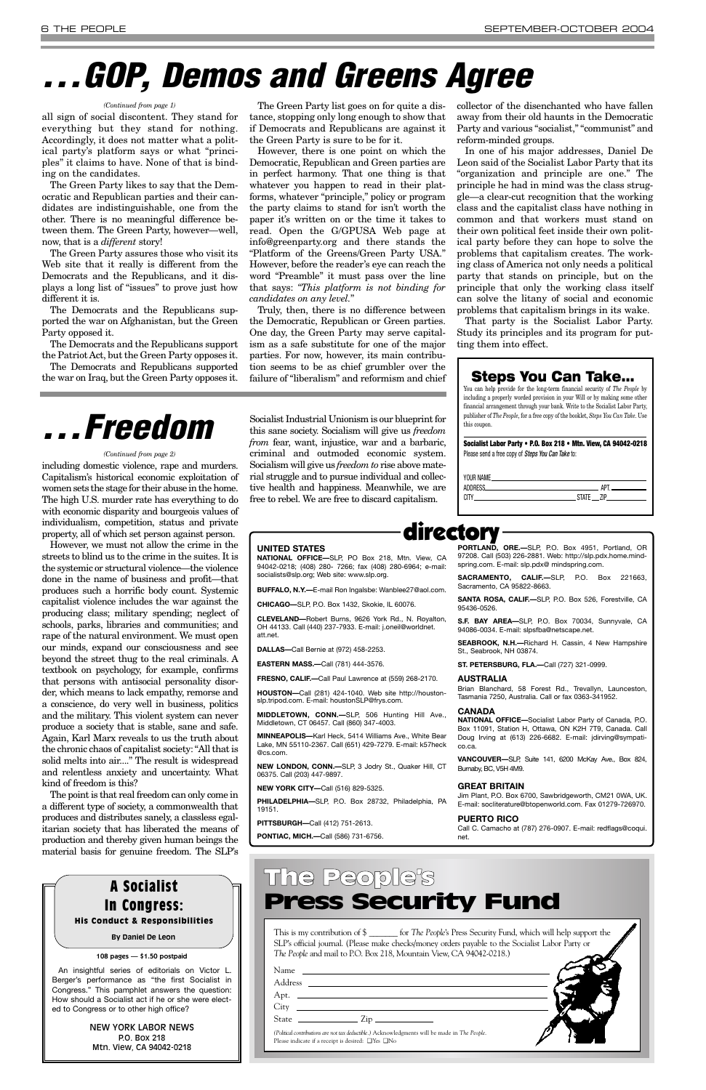including domestic violence, rape and murders. Capitalism's historical economic exploitation of women sets the stage for their abuse in the home. The high U.S. murder rate has everything to do with economic disparity and bourgeois values of individualism, competition, status and private property, all of which set person against person.

However, we must not allow the crime in the streets to blind us to the crime in the suites. It is the systemic or structural violence—the violence done in the name of business and profit—that produces such a horrific body count. Systemic capitalist violence includes the war against the producing class; military spending; neglect of schools, parks, libraries and communities; and rape of the natural environment. We must open our minds, expand our consciousness and see beyond the street thug to the real criminals. A textbook on psychology, for example, confirms that persons with antisocial personality disorder, which means to lack empathy, remorse and a conscience, do very well in business, politics and the military. This violent system can never produce a society that is stable, sane and safe. Again, Karl Marx reveals to us the truth about the chronic chaos of capitalist society: "All that is solid melts into air...." The result is widespread and relentless anxiety and uncertainty. What kind of freedom is this?

The point is that real freedom can only come in

a different type of society, a commonwealth that produces and distributes sanely, a classless egalitarian society that has liberated the means of production and thereby given human beings the material basis for genuine freedom. The SLP's Socialist Industrial Unionism is our blueprint for this sane society. Socialism will give us *freedom from* fear, want, injustice, war and a barbaric, criminal and outmoded economic system. Socialism will give us *freedom to* rise above material struggle and to pursue individual and collective health and happiness. Meanwhile, we are free to rebel. We are free to discard capitalism.

all sign of social discontent. They stand for everything but they stand for nothing. Accordingly, it does not matter what a political party's platform says or what "principles" it claims to have. None of that is binding on the candidates.

The Green Party likes to say that the Democratic and Republican parties and their candidates are indistinguishable, one from the other. There is no meaningful difference between them. The Green Party, however—well, now, that is a *different* story!

The Green Party assures those who visit its Web site that it really is different from the Democrats and the Republicans, and it displays a long list of "issues" to prove just how different it is.

| Name<br><u> 1980 - Jan Samuel Barbara, martin a</u>                                                                                                                                                                                                                                              |  |
|--------------------------------------------------------------------------------------------------------------------------------------------------------------------------------------------------------------------------------------------------------------------------------------------------|--|
| Address<br><u> The Communication of the Communication of the Communication of the Communication of the Communication of the Communication of the Communication of the Communication of the Communication of the Communication of the Commun</u>                                                  |  |
|                                                                                                                                                                                                                                                                                                  |  |
|                                                                                                                                                                                                                                                                                                  |  |
| State<br>$\sum_{i=1}^n$ $\sum_{i=1}^n$ $\sum_{i=1}^n$ $\sum_{i=1}^n$ $\sum_{i=1}^n$ $\sum_{i=1}^n$ $\sum_{i=1}^n$ $\sum_{i=1}^n$ $\sum_{i=1}^n$ $\sum_{i=1}^n$ $\sum_{i=1}^n$ $\sum_{i=1}^n$ $\sum_{i=1}^n$ $\sum_{i=1}^n$ $\sum_{i=1}^n$ $\sum_{i=1}^n$ $\sum_{i=1}^n$ $\sum_{i=1}^n$ $\sum_{i$ |  |
| (Political contributions are not tax deductible.) Acknowledgments will be made in The People.<br>Please indicate if a receipt is desired: $\Box$ Yes $\Box$ No                                                                                                                                   |  |

The Democrats and the Republicans supported the war on Afghanistan, but the Green Party opposed it.

The Democrats and the Republicans support the Patriot Act, but the Green Party opposes it.

> You can help provide for the long-term financial security of *The People* by including a properly worded provision in your Will or by making some other financial arrangement through your bank. Write to the Socialist Labor Party, publisher of *The People*, for a free copy of the booklet, *Steps You Can Take*. Use this coupon.

The Democrats and Republicans supported the war on Iraq, but the Green Party opposes it.

The Green Party list goes on for quite a distance, stopping only long enough to show that if Democrats and Republicans are against it the Green Party is sure to be for it.

However, there is one point on which the Democratic, Republican and Green parties are in perfect harmony. That one thing is that whatever you happen to read in their platforms, whatever "principle," policy or program the party claims to stand for isn't worth the paper it's written on or the time it takes to read. Open the G/GPUSA Web page at info@greenparty.org and there stands the "Platform of the Greens/Green Party USA." However, before the reader's eye can reach the word "Preamble" it must pass over the line that says: *"This platform is not binding for candidates on any level.*"

Truly, then, there is no difference between the Democratic, Republican or Green parties. One day, the Green Party may serve capitalism as a safe substitute for one of the major parties. For now, however, its main contribution seems to be as chief grumbler over the failure of "liberalism" and reformism and chief collector of the disenchanted who have fallen away from their old haunts in the Democratic Party and various "socialist," "communist" and reform-minded groups.

In one of his major addresses, Daniel De Leon said of the Socialist Labor Party that its "organization and principle are one." The principle he had in mind was the class struggle—a clear-cut recognition that the working class and the capitalist class have nothing in common and that workers must stand on their own political feet inside their own political party before they can hope to solve the problems that capitalism creates. The working class of America not only needs a political party that stands on principle, but on the principle that only the working class itself can solve the litany of social and economic problems that capitalism brings in its wake.

That party is the Socialist Labor Party. Study its principles and its program for putting them into effect.

## **GOP, Demos and Greens Agree**

This is my contribution of \$ \_\_\_\_\_\_\_ for *The People*'s Press Security Fund, which will help support the SLP's official journal. (Please make checks/money orders payable to the Socialist Labor Party or *The People* and mail to P.O. Box 218, Mountain View, CA 94042-0218.)

### The People's Press Security Fund

#### **Steps You Can Take...**

**Socialist Labor Party • P.O. Box 218 • Mtn. View, CA 94042-0218** Please send a free copy of *Steps You Can Take* to:

| ADDRESS.  | the control of the control of the control of the control of the control of the control of | ΔPT |
|-----------|-------------------------------------------------------------------------------------------|-----|
| 1 : I I V | STATF 7IP                                                                                 |     |
|           |                                                                                           |     |

### directory

#### **UNITED STATES**

**NATIONAL OFFICE—**SLP, PO Box 218, Mtn. View, CA 94042-0218; (408) 280- 7266; fax (408) 280-6964; e-mail: socialists@slp.org; Web site: www.slp.org.

**BUFFALO, N.Y.—**E-mail Ron Ingalsbe: Wanblee27@aol.com.

**CHICAGO—**SLP, P.O. Box 1432, Skokie, IL 60076.

**CLEVELAND—**Robert Burns, 9626 York Rd., N. Royalton, OH 44133. Call (440) 237-7933. E-mail: j.oneil@worldnet. att.net.

**DALLAS—**Call Bernie at (972) 458-2253.

**EASTERN MASS.—**Call (781) 444-3576.

**FRESNO, CALIF.—**Call Paul Lawrence at (559) 268-2170.

**HOUSTON—**Call (281) 424-1040. Web site http://houstonslp.tripod.com. E-mail: houstonSLP@frys.com.

**MIDDLETOWN, CONN.—**SLP, 506 Hunting Hill Ave., Middletown, CT 06457. Call (860) 347-4003.

**MINNEAPOLIS—**Karl Heck, 5414 Williams Ave., White Bear Lake, MN 55110-2367. Call (651) 429-7279. E-mail: k57heck @cs.com.

**NEW LONDON, CONN.—**SLP, 3 Jodry St., Quaker Hill, CT 06375. Call (203) 447-9897.

**NEW YORK CITY—**Call (516) 829-5325.

**PHILADELPHIA—**SLP, P.O. Box 28732, Philadelphia, PA 19151.

**PITTSBURGH—**Call (412) 751-2613.

**PONTIAC, MICH.—**Call (586) 731-6756.

**PORTLAND, ORE.—**SLP, P.O. Box 4951, Portland, OR 97208. Call (503) 226-2881. Web: http://slp.pdx.home.mindspring.com. E-mail: slp.pdx@ mindspring.com.

**SACRAMENTO, CALIF.—**SLP, P.O. Box 221663, Sacramento, CA 95822-8663.

**SANTA ROSA, CALIF.—**SLP, P.O. Box 526, Forestville, CA 95436-0526.

**S.F. BAY AREA—**SLP, P.O. Box 70034, Sunnyvale, CA 94086-0034. E-mail: slpsfba@netscape.net.

**SEABROOK, N.H.—**Richard H. Cassin, 4 New Hampshire St., Seabrook, NH 03874.

**ST. PETERSBURG, FLA.—**Call (727) 321-0999.

#### **AUSTRALIA**

Brian Blanchard, 58 Forest Rd., Trevallyn, Launceston, Tasmania 7250, Australia. Call or fax 0363-341952.

#### **CANADA**

**NATIONAL OFFICE—**Socialist Labor Party of Canada, P.O. Box 11091, Station H, Ottawa, ON K2H 7T9, Canada. Call Doug Irving at (613) 226-6682. E-mail: jdirving@sympatico.ca.

**VANCOUVER—**SLP, Suite 141, 6200 McKay Ave., Box 824, Burnaby, BC, V5H 4M9.

#### **GREAT BRITAIN**

Jim Plant, P.O. Box 6700, Sawbridgeworth, CM21 0WA, UK.

E-mail: socliterature@btopenworld.com. Fax 01279-726970.

#### **PUERTO RICO**

Call C. Camacho at (787) 276-0907. E-mail: redflags@coqui. net.

#### *(Continued from page 1)*

#### 108 pages — \$1.50 postpaid

An insightful series of editorials on Victor L. Berger's performance as "the first Socialist in Congress." This pamphlet answers the question: How should a Socialist act if he or she were elected to Congress or to other high office?

> NEW YORK LABOR NEWS P.O. Box 218 Mtn. View, CA 94042-0218



#### His Conduct & Responsibilities

**By Daniel De Leon**

*. . . Freedom*

#### *(Continued from page 2)*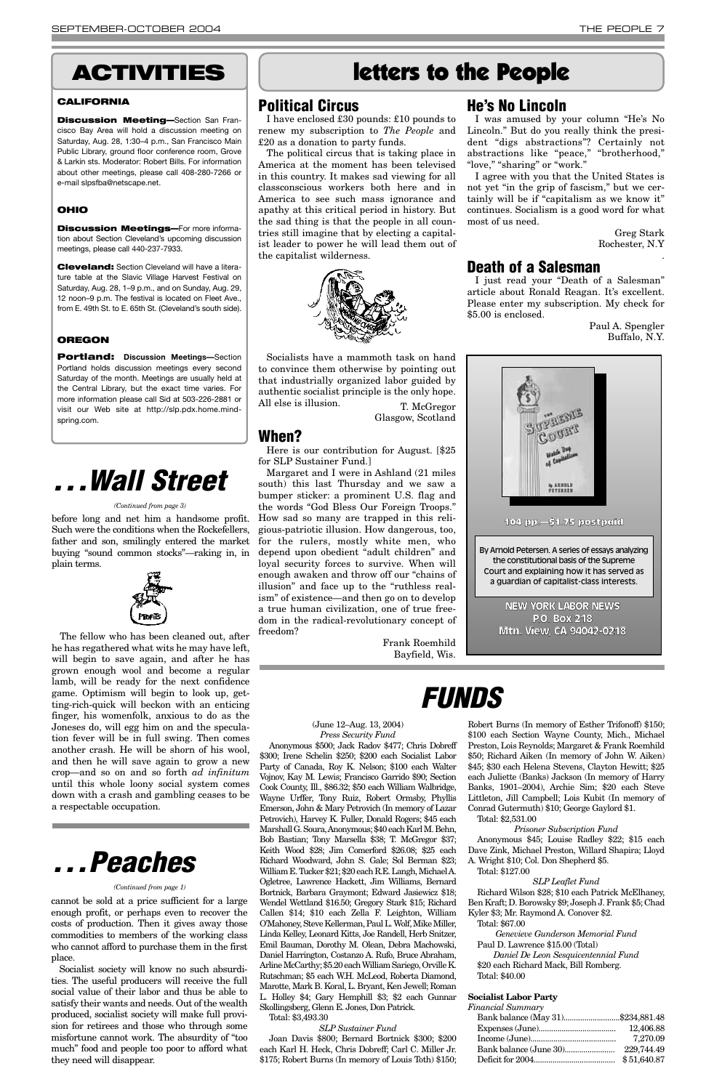#### **Political Circus**

I have enclosed £30 pounds: £10 pounds to renew my subscription to *The People* and £20 as a donation to party funds.

Socialists have a mammoth task on hand to convince them otherwise by pointing out that industrially organized labor guided by authentic socialist principle is the only hope. All else is illusion. T. McGregor

The political circus that is taking place in America at the moment has been televised in this country. It makes sad viewing for all classconscious workers both here and in America to see such mass ignorance and apathy at this critical period in history. But the sad thing is that the people in all countries still imagine that by electing a capitalist leader to power he will lead them out of the capitalist wilderness.



Glasgow, Scotland

#### **When?**

Here is our contribution for August. [\$25 for SLP Sustainer Fund.]

Margaret and I were in Ashland (21 miles south) this last Thursday and we saw a bumper sticker: a prominent U.S. flag and the words "God Bless Our Foreign Troops." How sad so many are trapped in this religious-patriotic illusion. How dangerous, too, for the rulers, mostly white men, who depend upon obedient "adult children" and loyal security forces to survive. When will enough awaken and throw off our "chains of illusion" and face up to the "ruthless realism" of existence—and then go on to develop a true human civilization, one of true freedom in the radical-revolutionary concept of freedom?

> Frank Roemhild Bayfield, Wis.

### **He's No Lincoln**

I was amused by your column "He's No Lincoln." But do you really think the president "digs abstractions"? Certainly not abstractions like "peace," "brotherhood," "love," "sharing" or "work."

**Discussion Meeting—Section San Fran**cisco Bay Area will hold a discussion meeting on Saturday, Aug. 28, 1:30–4 p.m., San Francisco Main Public Library, ground floor conference room, Grove & Larkin sts. Moderator: Robert Bills. For information about other meetings, please call 408-280-7266 or e-mail slpsfba@netscape.net.

I agree with you that the United States is not yet "in the grip of fascism," but we certainly will be if "capitalism as we know it" continues. Socialism is a good word for what most of us need.

> Greg Stark Rochester, N.Y

> > .

#### **Death of a Salesman**

I just read your "Death of a Salesman" article about Ronald Reagan. It's excellent. Please enter my subscription. My check for \$5.00 is enclosed.

> Paul A. Spengler Buffalo, N.Y.

before long and net him a handsome profit. Such were the conditions when the Rockefellers, father and son, smilingly entered the market buying "sound common stocks"—raking in, in plain terms.



The fellow who has been cleaned out, after he has regathered what wits he may have left, will begin to save again, and after he has grown enough wool and become a regular lamb, will be ready for the next confidence game. Optimism will begin to look up, getting-rich-quick will beckon with an enticing finger, his womenfolk, anxious to do as the Joneses do, will egg him on and the speculation fever will be in full swing. Then comes another crash. He will be shorn of his wool, and then he will save again to grow a new crop—and so on and so forth *ad infinitum* until this whole loony social system comes down with a crash and gambling ceases to be

a respectable occupation.

### *FUNDS*

### **ACTIVITIES** letters to the People

#### **CALIFORNIA**

#### **OHIO**

**Discussion Meetings—**For more information about Section Cleveland's upcoming discussion meetings, please call 440-237-7933.

**Cleveland:** Section Cleveland will have a literature table at the Slavic Village Harvest Festival on Saturday, Aug. 28, 1–9 p.m., and on Sunday, Aug. 29, 12 noon–9 p.m. The festival is located on Fleet Ave., from E. 49th St. to E. 65th St. (Cleveland's south side).

#### **OREGON**

**Portland: Discussion Meetings—**Section Portland holds discussion meetings every second Saturday of the month. Meetings are usually held at the Central Library, but the exact time varies. For more information please call Sid at 503-226-2881 or visit our Web site at http://slp.pdx.home.mindspring.com.



#### *(Continued from page 3)*

cannot be sold at a price sufficient for a large enough profit, or perhaps even to recover the costs of production. Then it gives away those commodities to members of the working class who cannot afford to purchase them in the first place.

Socialist society will know no such absurdities. The useful producers will receive the full social value of their labor and thus be able to satisfy their wants and needs. Out of the wealth produced, socialist society will make full provision for retirees and those who through some misfortune cannot work. The absurdity of "too much" food and people too poor to afford what they need will disappear.

## *. . .Peaches*

#### *(Continued from page 1)*

#### (June 12–Aug. 13, 2004) *Press Security Fund*

Anonymous \$500; Jack Radov \$477; Chris Dobreff \$300; Irene Schelin \$250; \$200 each Socialist Labor Party of Canada, Roy K. Nelson; \$100 each Walter Vojnov, Kay M. Lewis; Francisco Garrido \$90; Section Cook County, Ill., \$86.32; \$50 each William Walbridge, Wayne Urffer, Tony Ruiz, Robert Ormsby, Phyllis Emerson, John & Mary Petrovich (In memory of Lazar Petrovich), Harvey K. Fuller, Donald Rogers; \$45 each Marshall G. Soura, Anonymous; \$40 each Karl M. Behn, Bob Bastian; Tony Marsella \$38; T. McGregor \$37; Keith Wood \$28; Jim Comerford \$26.08; \$25 each Richard Woodward, John S. Gale; Sol Berman \$23; William E. Tucker \$21; \$20 each R.E. Langh, Michael A. Ogletree, Lawrence Hackett, Jim Williams, Bernard Bortnick, Barbara Graymont; Edward Jasiewicz \$18; Wendel Wettland \$16.50; Gregory Stark \$15; Richard Callen \$14; \$10 each Zella F. Leighton, William O'Mahoney, Steve Kellerman, Paul L. Wolf, Mike Miller, Linda Kelley, Leonard Kitts, Joe Randell, Herb Snitzer, Emil Bauman, Dorothy M. Olean, Debra Machowski, Daniel Harrington, Costanzo A. Rufo, Bruce Abraham, Arline McCarthy; \$5.20 each William Sariego, Orville K. Rutschman; \$5 each W.H. McLeod, Roberta Diamond, Marotte, Mark B. Koral, L. Bryant, Ken Jewell; Roman L. Holley \$4; Gary Hemphill \$3; \$2 each Gunnar Skollingsberg, Glenn E. Jones, Don Patrick. Total: \$3,493.30

#### *SLP Sustainer Fund*

Joan Davis \$800; Bernard Bortnick \$300; \$200 each Karl H. Heck, Chris Dobreff; Carl C. Miller Jr. \$175; Robert Burns (In memory of Louis Toth) \$150;

#### Robert Burns (In memory of Esther Trifonoff) \$150; \$100 each Section Wayne County, Mich., Michael Preston, Lois Reynolds; Margaret & Frank Roemhild \$50; Richard Aiken (In memory of John W. Aiken) \$45; \$30 each Helena Stevens, Clayton Hewitt; \$25 each Juliette (Banks) Jackson (In memory of Harry Banks, 1901–2004), Archie Sim; \$20 each Steve Littleton, Jill Campbell; Lois Kubit (In memory of

Conrad Gutermuth) \$10; George Gaylord \$1.

#### Total: \$2,531.00

#### *Prisoner Subscription Fund*

Anonymous \$45; Louise Radley \$22; \$15 each Dave Zink, Michael Preston, Willard Shapira; Lloyd A. Wright \$10; Col. Don Shepherd \$5.

#### Total: \$127.00

#### *SLP Leaflet Fund*

Richard Wilson \$28; \$10 each Patrick McElhaney, Ben Kraft; D. Borowsky \$9; Joseph J. Frank \$5; Chad Kyler \$3; Mr. Raymond A. Conover \$2.

#### Total: \$67.00

*Genevieve Gunderson Memorial Fund* Paul D. Lawrence \$15.00 (Total)

*Daniel De Leon Sesquicentennial Fund* \$20 each Richard Mack, Bill Romberg. Total: \$40.00

#### **Socialist Labor Party**

*Financial Summary*

| Bank balance (May 31)\$234,881.48 |             |
|-----------------------------------|-------------|
|                                   | 12,406.88   |
|                                   | 7,270.09    |
|                                   | 229.744.49  |
|                                   | \$51,640.87 |